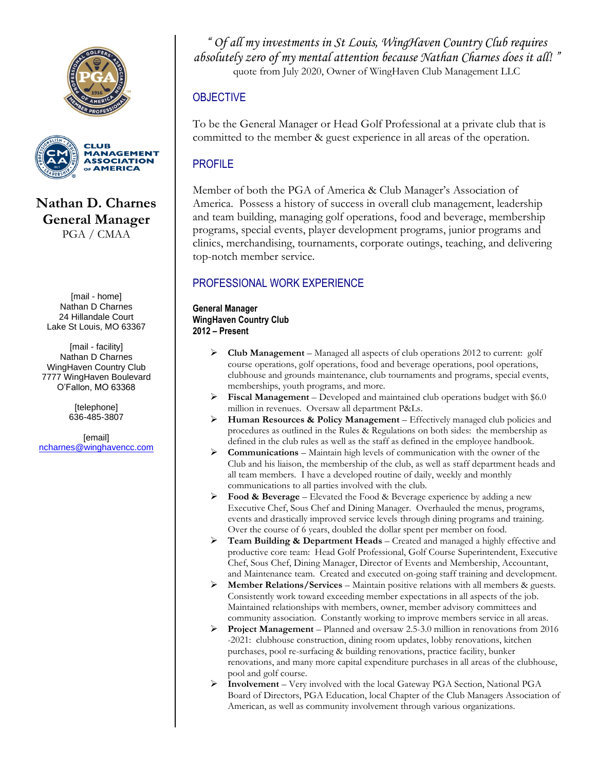



**Nathan D. Charnes General Manager** PGA / CMAA

[mail - home] Nathan D Charnes 24 Hillandale Court Lake St Louis, MO 63367

[mail - facility] Nathan D Charnes WingHaven Country Club 7777 WingHaven Boulevard O'Fallon, MO 63368

> [telephone] 636-485-3807

[email] [ncharnes@winghavencc.com](mailto:ncharnes@pga.com)

*" Of all my investments in St Louis, WingHaven Country Club requires absolutely zero of my mental attention because Nathan Charnes does it all! "* quote from July 2020, Owner of WingHaven Club Management LLC

# **OBJECTIVE**

To be the General Manager or Head Golf Professional at a private club that is committed to the member & guest experience in all areas of the operation.

# PROFILE

Member of both the PGA of America & Club Manager's Association of America. Possess a history of success in overall club management, leadership and team building, managing golf operations, food and beverage, membership programs, special events, player development programs, junior programs and clinics, merchandising, tournaments, corporate outings, teaching, and delivering top-notch member service.

# PROFESSIONAL WORK EXPERIENCE

**General Manager WingHaven Country Club 2012 – Present**

- ➢ **Club Management**  Managed all aspects of club operations 2012 to current: golf course operations, golf operations, food and beverage operations, pool operations, clubhouse and grounds maintenance, club tournaments and programs, special events, memberships, youth programs, and more.
- ➢ **Fiscal Management** Developed and maintained club operations budget with \$6.0 million in revenues. Oversaw all department P&Ls.
- ➢ **Human Resources & Policy Management** Effectively managed club policies and procedures as outlined in the Rules & Regulations on both sides: the membership as defined in the club rules as well as the staff as defined in the employee handbook.
- ➢ **Communications** Maintain high levels of communication with the owner of the Club and his liaison, the membership of the club, as well as staff department heads and all team members. I have a developed routine of daily, weekly and monthly communications to all parties involved with the club.
- ➢ **Food & Beverage** Elevated the Food & Beverage experience by adding a new Executive Chef, Sous Chef and Dining Manager. Overhauled the menus, programs, events and drastically improved service levels through dining programs and training. Over the course of 6 years, doubled the dollar spent per member on food.
- ➢ **Team Building & Department Heads** Created and managed a highly effective and productive core team: Head Golf Professional, Golf Course Superintendent, Executive Chef, Sous Chef, Dining Manager, Director of Events and Membership, Accountant, and Maintenance team. Created and executed on-going staff training and development.
- ➢ **Member Relations/Services**  Maintain positive relations with all members & guests. Consistently work toward exceeding member expectations in all aspects of the job. Maintained relationships with members, owner, member advisory committees and community association. Constantly working to improve members service in all areas.
- ➢ **Project Management**  Planned and oversaw 2.5-3.0 million in renovations from 2016 -2021: clubhouse construction, dining room updates, lobby renovations, kitchen purchases, pool re-surfacing & building renovations, practice facility, bunker renovations, and many more capital expenditure purchases in all areas of the clubhouse, pool and golf course.
- ➢ **Involvement**  Very involved with the local Gateway PGA Section, National PGA Board of Directors, PGA Education, local Chapter of the Club Managers Association of American, as well as community involvement through various organizations.